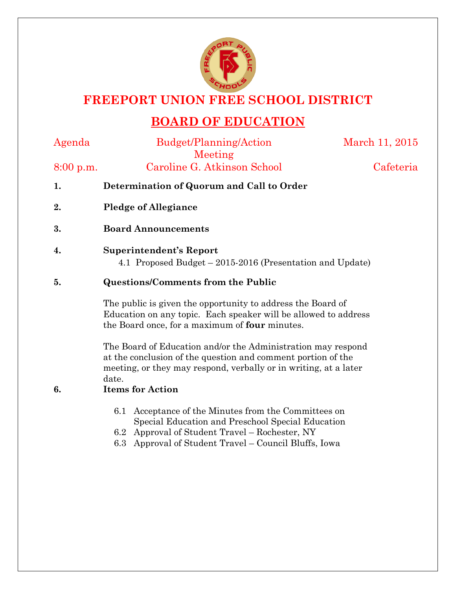

## **FREEPORT UNION FREE SCHOOL DISTRICT**

# **BOARD OF EDUCATION**

Agenda Budget/Planning/Action Meeting

March 11, 2015

8:00 p.m. Caroline G. Atkinson School Cafeteria

- **1. Determination of Quorum and Call to Order**
- **2. Pledge of Allegiance**
- **3. Board Announcements**
- **4. Superintendent's Report**

4.1 Proposed Budget – 2015-2016 (Presentation and Update)

#### **5. Questions/Comments from the Public**

The public is given the opportunity to address the Board of Education on any topic. Each speaker will be allowed to address the Board once, for a maximum of **four** minutes.

The Board of Education and/or the Administration may respond at the conclusion of the question and comment portion of the meeting, or they may respond, verbally or in writing, at a later date.

#### **6. Items for Action**

- 6.1 Acceptance of the Minutes from the Committees on Special Education and Preschool Special Education
- 6.2 Approval of Student Travel Rochester, NY
- 6.3 Approval of Student Travel Council Bluffs, Iowa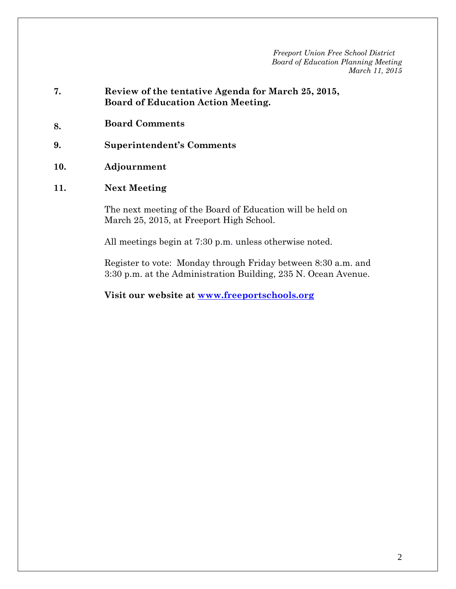- **7. Review of the tentative Agenda for March 25, 2015, Board of Education Action Meeting.**
- **8. Board Comments**
- **9. Superintendent's Comments**
- **10. Adjournment**
- **11. Next Meeting**

The next meeting of the Board of Education will be held on March 25, 2015, at Freeport High School.

All meetings begin at 7:30 p.m. unless otherwise noted.

Register to vote: Monday through Friday between 8:30 a.m. and 3:30 p.m. at the Administration Building, 235 N. Ocean Avenue.

**Visit our website at www.freeportschools.org**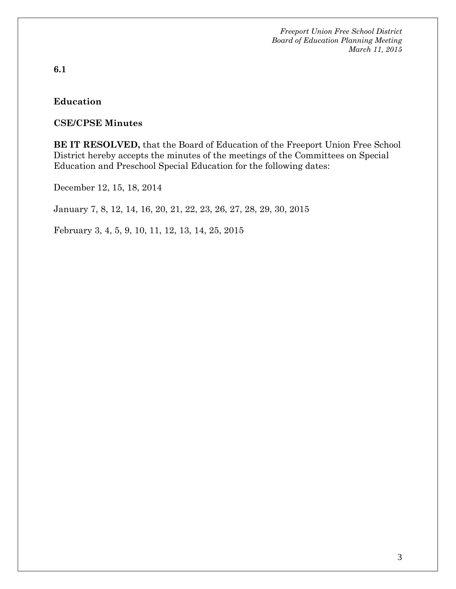**6.1** 

#### **Education**

#### **CSE/CPSE Minutes**

**BE IT RESOLVED,** that the Board of Education of the Freeport Union Free School District hereby accepts the minutes of the meetings of the Committees on Special Education and Preschool Special Education for the following dates:

December 12, 15, 18, 2014

January 7, 8, 12, 14, 16, 20, 21, 22, 23, 26, 27, 28, 29, 30, 2015

February 3, 4, 5, 9, 10, 11, 12, 13, 14, 25, 2015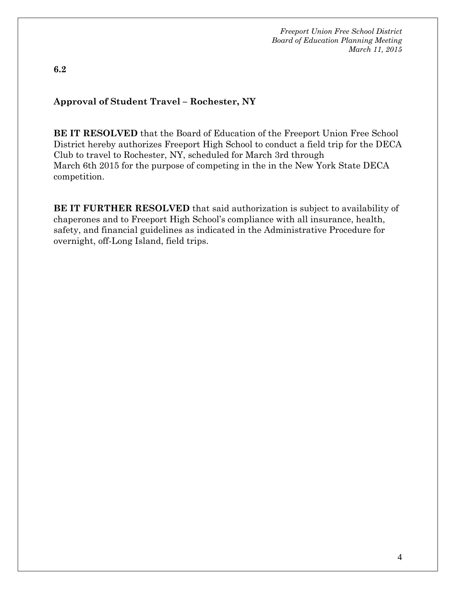**6.2** 

#### **Approval of Student Travel – Rochester, NY**

**BE IT RESOLVED** that the Board of Education of the Freeport Union Free School District hereby authorizes Freeport High School to conduct a field trip for the DECA Club to travel to Rochester, NY, scheduled for March 3rd through March 6th 2015 for the purpose of competing in the in the New York State DECA competition.

**BE IT FURTHER RESOLVED** that said authorization is subject to availability of chaperones and to Freeport High School's compliance with all insurance, health, safety, and financial guidelines as indicated in the Administrative Procedure for overnight, off-Long Island, field trips.